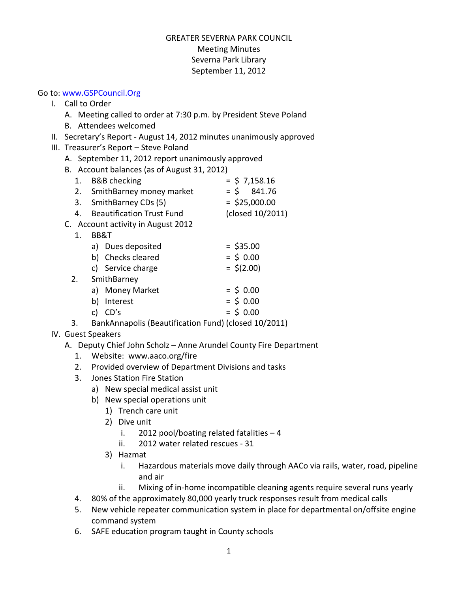## GREATER SEVERNA PARK COUNCIL Meeting Minutes Severna Park Library September 11, 2012

## Go to: www.GSPCouncil.Org

- I. Call to Order
	- A. Meeting called to order at 7:30 p.m. by President Steve Poland
	- B. Attendees welcomed
- II. Secretary's Report August 14, 2012 minutes unanimously approved
- III. Treasurer's Report Steve Poland
	- A. September 11, 2012 report unanimously approved
	- B. Account balances (as of August 31, 2012)

|                                    | $D.$ Account balances (as or August 31, 2012) |                                  |                  |  |  |
|------------------------------------|-----------------------------------------------|----------------------------------|------------------|--|--|
|                                    | 1.                                            | <b>B&amp;B</b> checking          | $=$ \$ 7,158.16  |  |  |
|                                    | 2.                                            | SmithBarney money market         | 841.76<br>$=$ \$ |  |  |
|                                    |                                               | 3. SmithBarney CDs (5)           | $=$ \$25,000.00  |  |  |
|                                    | 4.                                            | <b>Beautification Trust Fund</b> | (closed 10/2011) |  |  |
| C. Account activity in August 2012 |                                               |                                  |                  |  |  |
|                                    | 1.                                            |                                  |                  |  |  |
|                                    |                                               | a) Dues deposited                | $=$ \$35.00      |  |  |
|                                    |                                               | b) Checks cleared                | $=$ \$ 0.00      |  |  |
|                                    |                                               | c) Service charge                | $=$ \$(2.00)     |  |  |
|                                    | 2.                                            | SmithBarney                      |                  |  |  |
|                                    |                                               | a) Money Market                  | = S N NN         |  |  |

- a) woney warket  $=$   $\geq$  0.00 b) Interest  $=$  \$ 0.00
- c)  $CD's = $ 0.00$
- 3. BankAnnapolis (Beautification Fund) (closed 10/2011)

## IV. Guest Speakers

- A. Deputy Chief John Scholz Anne Arundel County Fire Department
	- 1. Website: www.aaco.org/fire
	- 2. Provided overview of Department Divisions and tasks
	- 3. Jones Station Fire Station
		- a) New special medical assist unit
		- b) New special operations unit
			- 1) Trench care unit
			- 2) Dive unit
				- i. 2012 pool/boating related fatalities  $-4$
				- ii. 2012 water related rescues 31
			- 3) Hazmat
				- i. Hazardous materials move daily through AACo via rails, water, road, pipeline and air
				- ii. Mixing of in-home incompatible cleaning agents require several runs yearly
	- 4. 80% of the approximately 80,000 yearly truck responses result from medical calls
	- 5. New vehicle repeater communication system in place for departmental on/offsite engine command system
	- 6. SAFE education program taught in County schools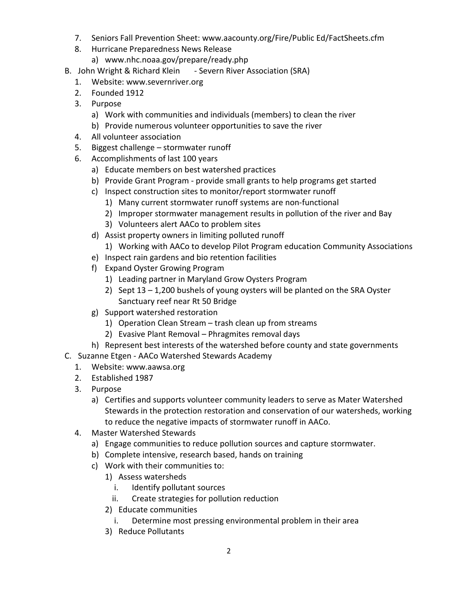- 7. Seniors Fall Prevention Sheet: www.aacounty.org/Fire/Public Ed/FactSheets.cfm
- 8. Hurricane Preparedness News Release
	- a) www.nhc.noaa.gov/prepare/ready.php
- B. John Wright & Richard Klein Severn River Association (SRA)
	- 1. Website: www.severnriver.org
	- 2. Founded 1912
	- 3. Purpose
		- a) Work with communities and individuals (members) to clean the river
		- b) Provide numerous volunteer opportunities to save the river
	- 4. All volunteer association
	- 5. Biggest challenge stormwater runoff
	- 6. Accomplishments of last 100 years
		- a) Educate members on best watershed practices
		- b) Provide Grant Program provide small grants to help programs get started
		- c) Inspect construction sites to monitor/report stormwater runoff
			- 1) Many current stormwater runoff systems are non-functional
			- 2) Improper stormwater management results in pollution of the river and Bay
			- 3) Volunteers alert AACo to problem sites
		- d) Assist property owners in limiting polluted runoff
			- 1) Working with AACo to develop Pilot Program education Community Associations
		- e) Inspect rain gardens and bio retention facilities
		- f) Expand Oyster Growing Program
			- 1) Leading partner in Maryland Grow Oysters Program
			- 2) Sept 13 1,200 bushels of young oysters will be planted on the SRA Oyster Sanctuary reef near Rt 50 Bridge
		- g) Support watershed restoration
			- 1) Operation Clean Stream trash clean up from streams
			- 2) Evasive Plant Removal Phragmites removal days
- h) Represent best interests of the watershed before county and state governments
- C. Suzanne Etgen AACo Watershed Stewards Academy
	- 1. Website: www.aawsa.org
	- 2. Established 1987
	- 3. Purpose
		- a) Certifies and supports volunteer community leaders to serve as Mater Watershed Stewards in the protection restoration and conservation of our watersheds, working to reduce the negative impacts of stormwater runoff in AACo.
	- 4. Master Watershed Stewards
		- a) Engage communities to reduce pollution sources and capture stormwater.
		- b) Complete intensive, research based, hands on training
		- c) Work with their communities to:
			- 1) Assess watersheds
				- i. Identify pollutant sources
				- ii. Create strategies for pollution reduction
			- 2) Educate communities
				- i. Determine most pressing environmental problem in their area
			- 3) Reduce Pollutants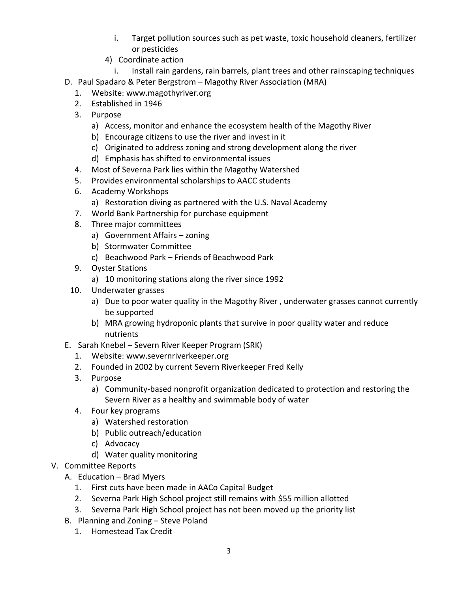- i. Target pollution sources such as pet waste, toxic household cleaners, fertilizer or pesticides
- 4) Coordinate action
	- i. Install rain gardens, rain barrels, plant trees and other rainscaping techniques
- D. Paul Spadaro & Peter Bergstrom Magothy River Association (MRA)
	- 1. Website: www.magothyriver.org
	- 2. Established in 1946
	- 3. Purpose
		- a) Access, monitor and enhance the ecosystem health of the Magothy River
		- b) Encourage citizens to use the river and invest in it
		- c) Originated to address zoning and strong development along the river
		- d) Emphasis has shifted to environmental issues
	- 4. Most of Severna Park lies within the Magothy Watershed
	- 5. Provides environmental scholarships to AACC students
	- 6. Academy Workshops
		- a) Restoration diving as partnered with the U.S. Naval Academy
	- 7. World Bank Partnership for purchase equipment
	- 8. Three major committees
		- a) Government Affairs zoning
		- b) Stormwater Committee
		- c) Beachwood Park Friends of Beachwood Park
	- 9. Oyster Stations
		- a) 10 monitoring stations along the river since 1992
	- 10. Underwater grasses
		- a) Due to poor water quality in the Magothy River , underwater grasses cannot currently be supported
		- b) MRA growing hydroponic plants that survive in poor quality water and reduce nutrients
- E. Sarah Knebel Severn River Keeper Program (SRK)
	- 1. Website: www.severnriverkeeper.org
	- 2. Founded in 2002 by current Severn Riverkeeper Fred Kelly
	- 3. Purpose
		- a) Community-based nonprofit organization dedicated to protection and restoring the Severn River as a healthy and swimmable body of water
	- 4. Four key programs
		- a) Watershed restoration
		- b) Public outreach/education
		- c) Advocacy
		- d) Water quality monitoring
- V. Committee Reports
	- A. Education Brad Myers
		- 1. First cuts have been made in AACo Capital Budget
		- 2. Severna Park High School project still remains with \$55 million allotted
		- 3. Severna Park High School project has not been moved up the priority list
	- B. Planning and Zoning Steve Poland
		- 1. Homestead Tax Credit